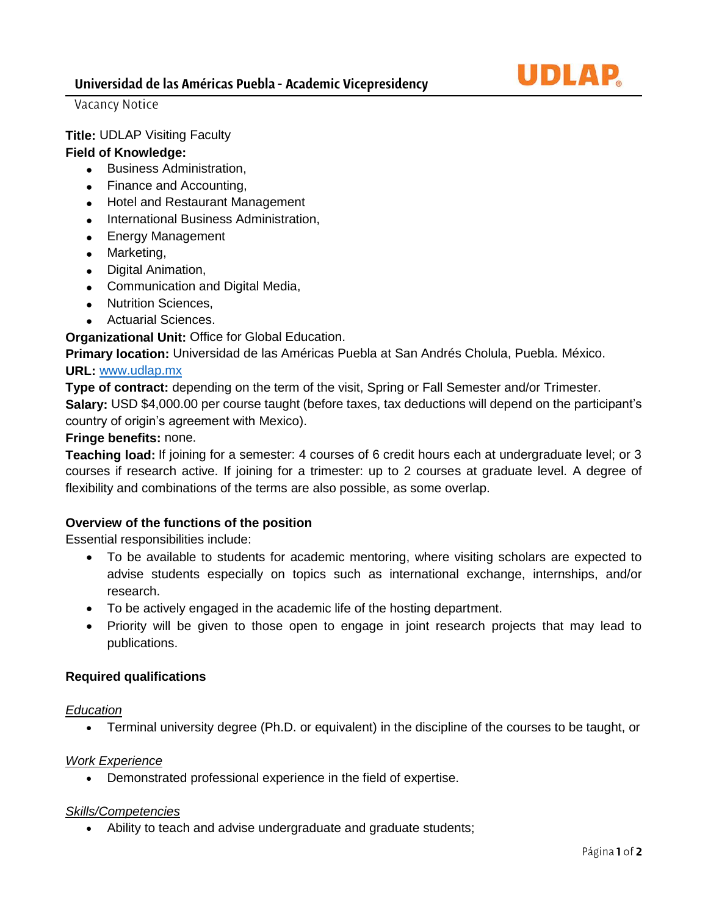

Vacancy Notice

# **Title:** UDLAP Visiting Faculty

# **Field of Knowledge:**

- Business Administration,
- Finance and Accounting,
- Hotel and Restaurant Management
- International Business Administration,
- Energy Management
- Marketing,
- Digital Animation,
- Communication and Digital Media,
- Nutrition Sciences,
- Actuarial Sciences.

**Organizational Unit:** Office for Global Education.

**Primary location:** Universidad de las Américas Puebla at San Andrés Cholula, Puebla. México.

## **URL:** [www.udlap.mx](http://www.udlap.mx/)

**Type of contract:** depending on the term of the visit, Spring or Fall Semester and/or Trimester. **Salary:** USD \$4,000.00 per course taught (before taxes, tax deductions will depend on the participant's country of origin's agreement with Mexico).

# **Fringe benefits:** none.

**Teaching load:** If joining for a semester: 4 courses of 6 credit hours each at undergraduate level; or 3 courses if research active. If joining for a trimester: up to 2 courses at graduate level. A degree of flexibility and combinations of the terms are also possible, as some overlap.

#### **Overview of the functions of the position**

Essential responsibilities include:

- To be available to students for academic mentoring, where visiting scholars are expected to advise students especially on topics such as international exchange, internships, and/or research.
- To be actively engaged in the academic life of the hosting department.
- Priority will be given to those open to engage in joint research projects that may lead to publications.

# **Required qualifications**

#### *Education*

• Terminal university degree (Ph.D. or equivalent) in the discipline of the courses to be taught, or

#### *Work Experience*

• Demonstrated professional experience in the field of expertise.

#### *Skills/Competencies*

• Ability to teach and advise undergraduate and graduate students;